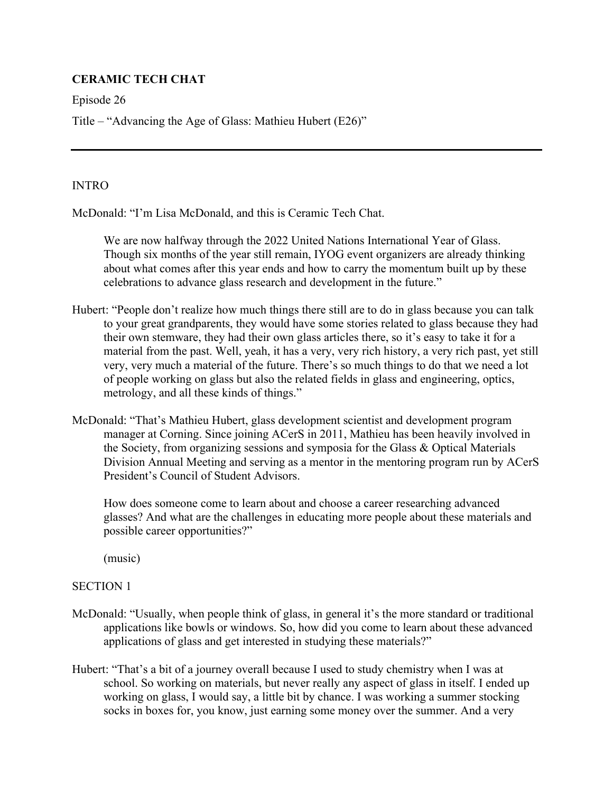# **CERAMIC TECH CHAT**

Episode 26

Title – "Advancing the Age of Glass: Mathieu Hubert (E26)"

### **INTRO**

McDonald: "I'm Lisa McDonald, and this is Ceramic Tech Chat.

 We are now halfway through the 2022 United Nations International Year of Glass. Though six months of the year still remain, IYOG event organizers are already thinking about what comes after this year ends and how to carry the momentum built up by these celebrations to advance glass research and development in the future."

- Hubert: "People don't realize how much things there still are to do in glass because you can talk to your great grandparents, they would have some stories related to glass because they had their own stemware, they had their own glass articles there, so it's easy to take it for a material from the past. Well, yeah, it has a very, very rich history, a very rich past, yet still very, very much a material of the future. There's so much things to do that we need a lot of people working on glass but also the related fields in glass and engineering, optics, metrology, and all these kinds of things."
- McDonald: "That's Mathieu Hubert, glass development scientist and development program manager at Corning. Since joining ACerS in 2011, Mathieu has been heavily involved in the Society, from organizing sessions and symposia for the Glass & Optical Materials Division Annual Meeting and serving as a mentor in the mentoring program run by ACerS President's Council of Student Advisors.

 How does someone come to learn about and choose a career researching advanced glasses? And what are the challenges in educating more people about these materials and possible career opportunities?"

(music)

## SECTION 1

- McDonald: "Usually, when people think of glass, in general it's the more standard or traditional applications like bowls or windows. So, how did you come to learn about these advanced applications of glass and get interested in studying these materials?"
- Hubert: "That's a bit of a journey overall because I used to study chemistry when I was at school. So working on materials, but never really any aspect of glass in itself. I ended up working on glass, I would say, a little bit by chance. I was working a summer stocking socks in boxes for, you know, just earning some money over the summer. And a very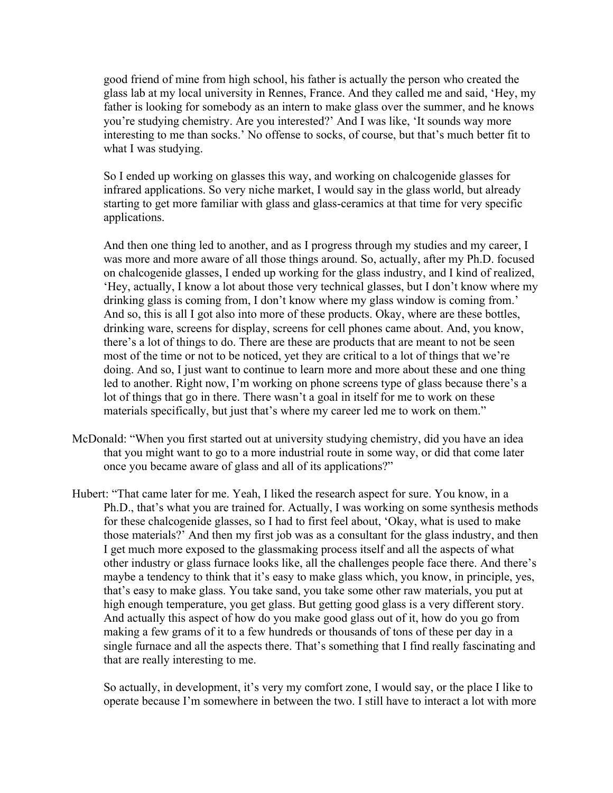good friend of mine from high school, his father is actually the person who created the glass lab at my local university in Rennes, France. And they called me and said, 'Hey, my father is looking for somebody as an intern to make glass over the summer, and he knows you're studying chemistry. Are you interested?' And I was like, 'It sounds way more interesting to me than socks.' No offense to socks, of course, but that's much better fit to what I was studying.

So I ended up working on glasses this way, and working on chalcogenide glasses for infrared applications. So very niche market, I would say in the glass world, but already starting to get more familiar with glass and glass-ceramics at that time for very specific applications.

And then one thing led to another, and as I progress through my studies and my career, I was more and more aware of all those things around. So, actually, after my Ph.D. focused on chalcogenide glasses, I ended up working for the glass industry, and I kind of realized, 'Hey, actually, I know a lot about those very technical glasses, but I don't know where my drinking glass is coming from, I don't know where my glass window is coming from.' And so, this is all I got also into more of these products. Okay, where are these bottles, drinking ware, screens for display, screens for cell phones came about. And, you know, there's a lot of things to do. There are these are products that are meant to not be seen most of the time or not to be noticed, yet they are critical to a lot of things that we're doing. And so, I just want to continue to learn more and more about these and one thing led to another. Right now, I'm working on phone screens type of glass because there's a lot of things that go in there. There wasn't a goal in itself for me to work on these materials specifically, but just that's where my career led me to work on them."

- McDonald: "When you first started out at university studying chemistry, did you have an idea that you might want to go to a more industrial route in some way, or did that come later once you became aware of glass and all of its applications?"
- Hubert: "That came later for me. Yeah, I liked the research aspect for sure. You know, in a Ph.D., that's what you are trained for. Actually, I was working on some synthesis methods for these chalcogenide glasses, so I had to first feel about, 'Okay, what is used to make those materials?' And then my first job was as a consultant for the glass industry, and then I get much more exposed to the glassmaking process itself and all the aspects of what other industry or glass furnace looks like, all the challenges people face there. And there's maybe a tendency to think that it's easy to make glass which, you know, in principle, yes, that's easy to make glass. You take sand, you take some other raw materials, you put at high enough temperature, you get glass. But getting good glass is a very different story. And actually this aspect of how do you make good glass out of it, how do you go from making a few grams of it to a few hundreds or thousands of tons of these per day in a single furnace and all the aspects there. That's something that I find really fascinating and that are really interesting to me.

So actually, in development, it's very my comfort zone, I would say, or the place I like to operate because I'm somewhere in between the two. I still have to interact a lot with more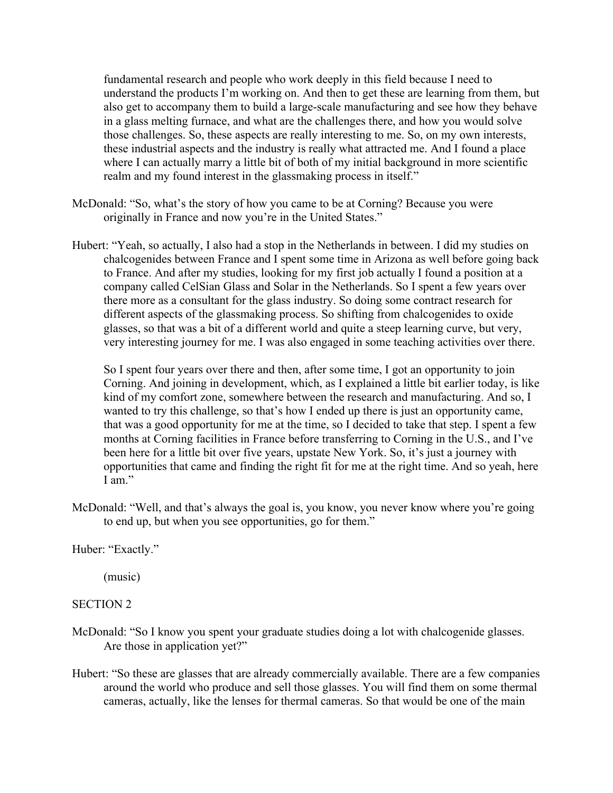fundamental research and people who work deeply in this field because I need to understand the products I'm working on. And then to get these are learning from them, but also get to accompany them to build a large-scale manufacturing and see how they behave in a glass melting furnace, and what are the challenges there, and how you would solve those challenges. So, these aspects are really interesting to me. So, on my own interests, these industrial aspects and the industry is really what attracted me. And I found a place where I can actually marry a little bit of both of my initial background in more scientific realm and my found interest in the glassmaking process in itself."

- McDonald: "So, what's the story of how you came to be at Corning? Because you were originally in France and now you're in the United States."
- Hubert: "Yeah, so actually, I also had a stop in the Netherlands in between. I did my studies on chalcogenides between France and I spent some time in Arizona as well before going back to France. And after my studies, looking for my first job actually I found a position at a company called CelSian Glass and Solar in the Netherlands. So I spent a few years over there more as a consultant for the glass industry. So doing some contract research for different aspects of the glassmaking process. So shifting from chalcogenides to oxide glasses, so that was a bit of a different world and quite a steep learning curve, but very, very interesting journey for me. I was also engaged in some teaching activities over there.

So I spent four years over there and then, after some time, I got an opportunity to join Corning. And joining in development, which, as I explained a little bit earlier today, is like kind of my comfort zone, somewhere between the research and manufacturing. And so, I wanted to try this challenge, so that's how I ended up there is just an opportunity came, that was a good opportunity for me at the time, so I decided to take that step. I spent a few months at Corning facilities in France before transferring to Corning in the U.S., and I've been here for a little bit over five years, upstate New York. So, it's just a journey with opportunities that came and finding the right fit for me at the right time. And so yeah, here I am."

McDonald: "Well, and that's always the goal is, you know, you never know where you're going to end up, but when you see opportunities, go for them."

Huber: "Exactly."

(music)

### SECTION 2

- McDonald: "So I know you spent your graduate studies doing a lot with chalcogenide glasses. Are those in application yet?"
- Hubert: "So these are glasses that are already commercially available. There are a few companies around the world who produce and sell those glasses. You will find them on some thermal cameras, actually, like the lenses for thermal cameras. So that would be one of the main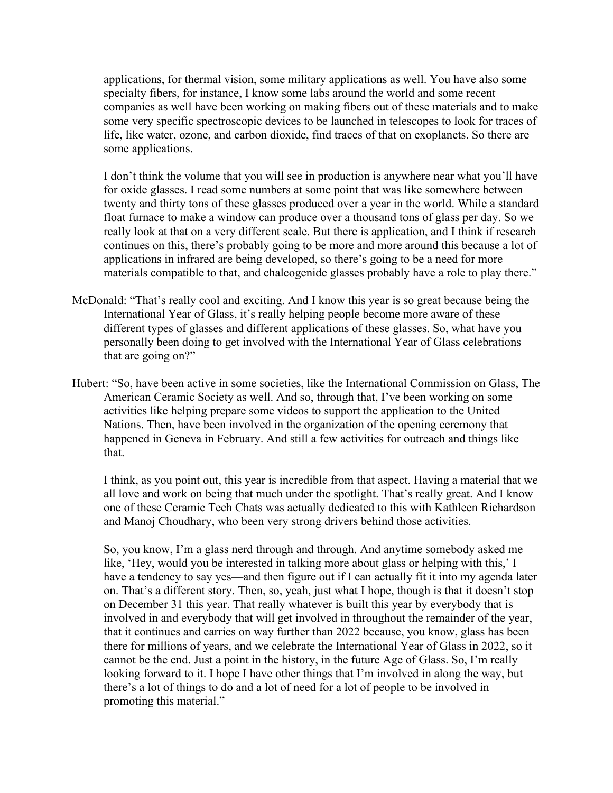applications, for thermal vision, some military applications as well. You have also some specialty fibers, for instance, I know some labs around the world and some recent companies as well have been working on making fibers out of these materials and to make some very specific spectroscopic devices to be launched in telescopes to look for traces of life, like water, ozone, and carbon dioxide, find traces of that on exoplanets. So there are some applications.

 I don't think the volume that you will see in production is anywhere near what you'll have for oxide glasses. I read some numbers at some point that was like somewhere between twenty and thirty tons of these glasses produced over a year in the world. While a standard float furnace to make a window can produce over a thousand tons of glass per day. So we really look at that on a very different scale. But there is application, and I think if research continues on this, there's probably going to be more and more around this because a lot of applications in infrared are being developed, so there's going to be a need for more materials compatible to that, and chalcogenide glasses probably have a role to play there."

- McDonald: "That's really cool and exciting. And I know this year is so great because being the International Year of Glass, it's really helping people become more aware of these different types of glasses and different applications of these glasses. So, what have you personally been doing to get involved with the International Year of Glass celebrations that are going on?"
- Hubert: "So, have been active in some societies, like the International Commission on Glass, The American Ceramic Society as well. And so, through that, I've been working on some activities like helping prepare some videos to support the application to the United Nations. Then, have been involved in the organization of the opening ceremony that happened in Geneva in February. And still a few activities for outreach and things like that.

I think, as you point out, this year is incredible from that aspect. Having a material that we all love and work on being that much under the spotlight. That's really great. And I know one of these Ceramic Tech Chats was actually dedicated to this with Kathleen Richardson and Manoj Choudhary, who been very strong drivers behind those activities.

So, you know, I'm a glass nerd through and through. And anytime somebody asked me like, 'Hey, would you be interested in talking more about glass or helping with this,' I have a tendency to say yes—and then figure out if I can actually fit it into my agenda later on. That's a different story. Then, so, yeah, just what I hope, though is that it doesn't stop on December 31 this year. That really whatever is built this year by everybody that is involved in and everybody that will get involved in throughout the remainder of the year, that it continues and carries on way further than 2022 because, you know, glass has been there for millions of years, and we celebrate the International Year of Glass in 2022, so it cannot be the end. Just a point in the history, in the future Age of Glass. So, I'm really looking forward to it. I hope I have other things that I'm involved in along the way, but there's a lot of things to do and a lot of need for a lot of people to be involved in promoting this material."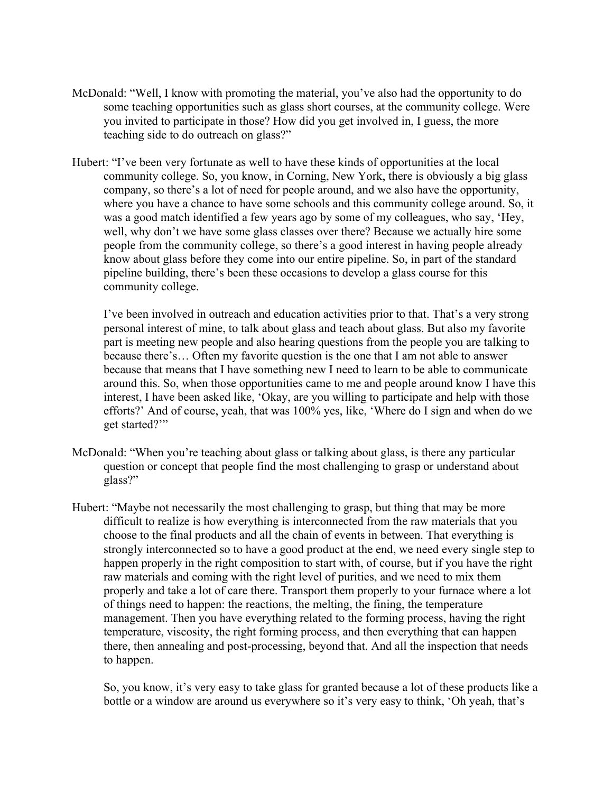- McDonald: "Well, I know with promoting the material, you've also had the opportunity to do some teaching opportunities such as glass short courses, at the community college. Were you invited to participate in those? How did you get involved in, I guess, the more teaching side to do outreach on glass?"
- Hubert: "I've been very fortunate as well to have these kinds of opportunities at the local community college. So, you know, in Corning, New York, there is obviously a big glass company, so there's a lot of need for people around, and we also have the opportunity, where you have a chance to have some schools and this community college around. So, it was a good match identified a few years ago by some of my colleagues, who say, 'Hey, well, why don't we have some glass classes over there? Because we actually hire some people from the community college, so there's a good interest in having people already know about glass before they come into our entire pipeline. So, in part of the standard pipeline building, there's been these occasions to develop a glass course for this community college.

I've been involved in outreach and education activities prior to that. That's a very strong personal interest of mine, to talk about glass and teach about glass. But also my favorite part is meeting new people and also hearing questions from the people you are talking to because there's… Often my favorite question is the one that I am not able to answer because that means that I have something new I need to learn to be able to communicate around this. So, when those opportunities came to me and people around know I have this interest, I have been asked like, 'Okay, are you willing to participate and help with those efforts?' And of course, yeah, that was 100% yes, like, 'Where do I sign and when do we get started?'"

- McDonald: "When you're teaching about glass or talking about glass, is there any particular question or concept that people find the most challenging to grasp or understand about glass?"
- Hubert: "Maybe not necessarily the most challenging to grasp, but thing that may be more difficult to realize is how everything is interconnected from the raw materials that you choose to the final products and all the chain of events in between. That everything is strongly interconnected so to have a good product at the end, we need every single step to happen properly in the right composition to start with, of course, but if you have the right raw materials and coming with the right level of purities, and we need to mix them properly and take a lot of care there. Transport them properly to your furnace where a lot of things need to happen: the reactions, the melting, the fining, the temperature management. Then you have everything related to the forming process, having the right temperature, viscosity, the right forming process, and then everything that can happen there, then annealing and post-processing, beyond that. And all the inspection that needs to happen.

So, you know, it's very easy to take glass for granted because a lot of these products like a bottle or a window are around us everywhere so it's very easy to think, 'Oh yeah, that's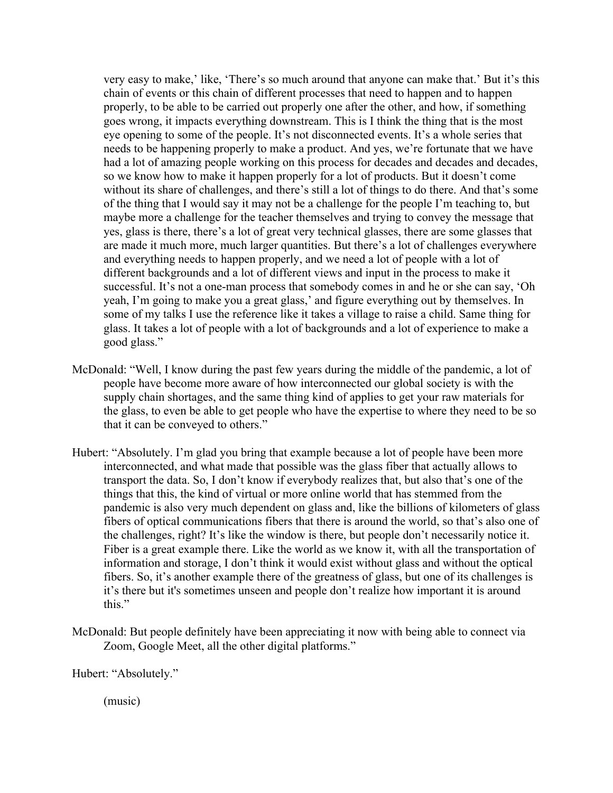very easy to make,' like, 'There's so much around that anyone can make that.' But it's this chain of events or this chain of different processes that need to happen and to happen properly, to be able to be carried out properly one after the other, and how, if something goes wrong, it impacts everything downstream. This is I think the thing that is the most eye opening to some of the people. It's not disconnected events. It's a whole series that needs to be happening properly to make a product. And yes, we're fortunate that we have had a lot of amazing people working on this process for decades and decades and decades, so we know how to make it happen properly for a lot of products. But it doesn't come without its share of challenges, and there's still a lot of things to do there. And that's some of the thing that I would say it may not be a challenge for the people I'm teaching to, but maybe more a challenge for the teacher themselves and trying to convey the message that yes, glass is there, there's a lot of great very technical glasses, there are some glasses that are made it much more, much larger quantities. But there's a lot of challenges everywhere and everything needs to happen properly, and we need a lot of people with a lot of different backgrounds and a lot of different views and input in the process to make it successful. It's not a one-man process that somebody comes in and he or she can say, 'Oh yeah, I'm going to make you a great glass,' and figure everything out by themselves. In some of my talks I use the reference like it takes a village to raise a child. Same thing for glass. It takes a lot of people with a lot of backgrounds and a lot of experience to make a good glass."

- McDonald: "Well, I know during the past few years during the middle of the pandemic, a lot of people have become more aware of how interconnected our global society is with the supply chain shortages, and the same thing kind of applies to get your raw materials for the glass, to even be able to get people who have the expertise to where they need to be so that it can be conveyed to others."
- Hubert: "Absolutely. I'm glad you bring that example because a lot of people have been more interconnected, and what made that possible was the glass fiber that actually allows to transport the data. So, I don't know if everybody realizes that, but also that's one of the things that this, the kind of virtual or more online world that has stemmed from the pandemic is also very much dependent on glass and, like the billions of kilometers of glass fibers of optical communications fibers that there is around the world, so that's also one of the challenges, right? It's like the window is there, but people don't necessarily notice it. Fiber is a great example there. Like the world as we know it, with all the transportation of information and storage, I don't think it would exist without glass and without the optical fibers. So, it's another example there of the greatness of glass, but one of its challenges is it's there but it's sometimes unseen and people don't realize how important it is around this."
- McDonald: But people definitely have been appreciating it now with being able to connect via Zoom, Google Meet, all the other digital platforms."

Hubert: "Absolutely."

(music)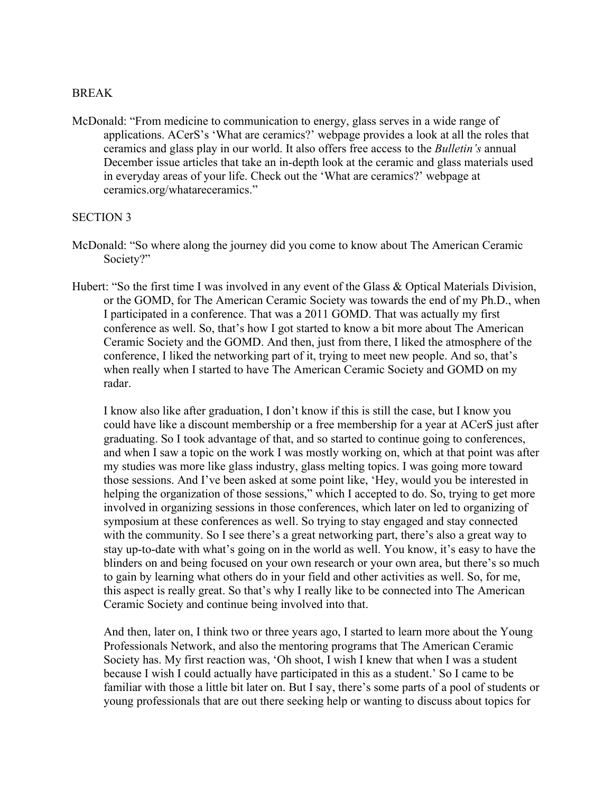### BREAK

McDonald: "From medicine to communication to energy, glass serves in a wide range of applications. ACerS's 'What are ceramics?' webpage provides a look at all the roles that ceramics and glass play in our world. It also offers free access to the *Bulletin's* annual December issue articles that take an in-depth look at the ceramic and glass materials used in everyday areas of your life. Check out the 'What are ceramics?' webpage at ceramics.org/whatareceramics."

### SECTION 3

- McDonald: "So where along the journey did you come to know about The American Ceramic Society?"
- Hubert: "So the first time I was involved in any event of the Glass & Optical Materials Division, or the GOMD, for The American Ceramic Society was towards the end of my Ph.D., when I participated in a conference. That was a 2011 GOMD. That was actually my first conference as well. So, that's how I got started to know a bit more about The American Ceramic Society and the GOMD. And then, just from there, I liked the atmosphere of the conference, I liked the networking part of it, trying to meet new people. And so, that's when really when I started to have The American Ceramic Society and GOMD on my radar.

I know also like after graduation, I don't know if this is still the case, but I know you could have like a discount membership or a free membership for a year at ACerS just after graduating. So I took advantage of that, and so started to continue going to conferences, and when I saw a topic on the work I was mostly working on, which at that point was after my studies was more like glass industry, glass melting topics. I was going more toward those sessions. And I've been asked at some point like, 'Hey, would you be interested in helping the organization of those sessions," which I accepted to do. So, trying to get more involved in organizing sessions in those conferences, which later on led to organizing of symposium at these conferences as well. So trying to stay engaged and stay connected with the community. So I see there's a great networking part, there's also a great way to stay up-to-date with what's going on in the world as well. You know, it's easy to have the blinders on and being focused on your own research or your own area, but there's so much to gain by learning what others do in your field and other activities as well. So, for me, this aspect is really great. So that's why I really like to be connected into The American Ceramic Society and continue being involved into that.

And then, later on, I think two or three years ago, I started to learn more about the Young Professionals Network, and also the mentoring programs that The American Ceramic Society has. My first reaction was, 'Oh shoot, I wish I knew that when I was a student because I wish I could actually have participated in this as a student.' So I came to be familiar with those a little bit later on. But I say, there's some parts of a pool of students or young professionals that are out there seeking help or wanting to discuss about topics for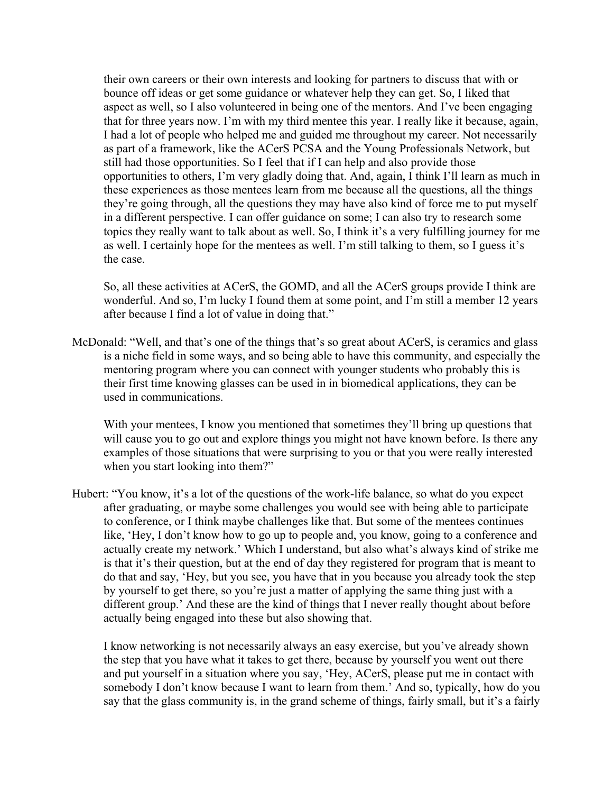their own careers or their own interests and looking for partners to discuss that with or bounce off ideas or get some guidance or whatever help they can get. So, I liked that aspect as well, so I also volunteered in being one of the mentors. And I've been engaging that for three years now. I'm with my third mentee this year. I really like it because, again, I had a lot of people who helped me and guided me throughout my career. Not necessarily as part of a framework, like the ACerS PCSA and the Young Professionals Network, but still had those opportunities. So I feel that if I can help and also provide those opportunities to others, I'm very gladly doing that. And, again, I think I'll learn as much in these experiences as those mentees learn from me because all the questions, all the things they're going through, all the questions they may have also kind of force me to put myself in a different perspective. I can offer guidance on some; I can also try to research some topics they really want to talk about as well. So, I think it's a very fulfilling journey for me as well. I certainly hope for the mentees as well. I'm still talking to them, so I guess it's the case.

So, all these activities at ACerS, the GOMD, and all the ACerS groups provide I think are wonderful. And so, I'm lucky I found them at some point, and I'm still a member 12 years after because I find a lot of value in doing that."

McDonald: "Well, and that's one of the things that's so great about ACerS, is ceramics and glass is a niche field in some ways, and so being able to have this community, and especially the mentoring program where you can connect with younger students who probably this is their first time knowing glasses can be used in in biomedical applications, they can be used in communications.

With your mentees, I know you mentioned that sometimes they'll bring up questions that will cause you to go out and explore things you might not have known before. Is there any examples of those situations that were surprising to you or that you were really interested when you start looking into them?"

Hubert: "You know, it's a lot of the questions of the work-life balance, so what do you expect after graduating, or maybe some challenges you would see with being able to participate to conference, or I think maybe challenges like that. But some of the mentees continues like, 'Hey, I don't know how to go up to people and, you know, going to a conference and actually create my network.' Which I understand, but also what's always kind of strike me is that it's their question, but at the end of day they registered for program that is meant to do that and say, 'Hey, but you see, you have that in you because you already took the step by yourself to get there, so you're just a matter of applying the same thing just with a different group.' And these are the kind of things that I never really thought about before actually being engaged into these but also showing that.

I know networking is not necessarily always an easy exercise, but you've already shown the step that you have what it takes to get there, because by yourself you went out there and put yourself in a situation where you say, 'Hey, ACerS, please put me in contact with somebody I don't know because I want to learn from them.' And so, typically, how do you say that the glass community is, in the grand scheme of things, fairly small, but it's a fairly